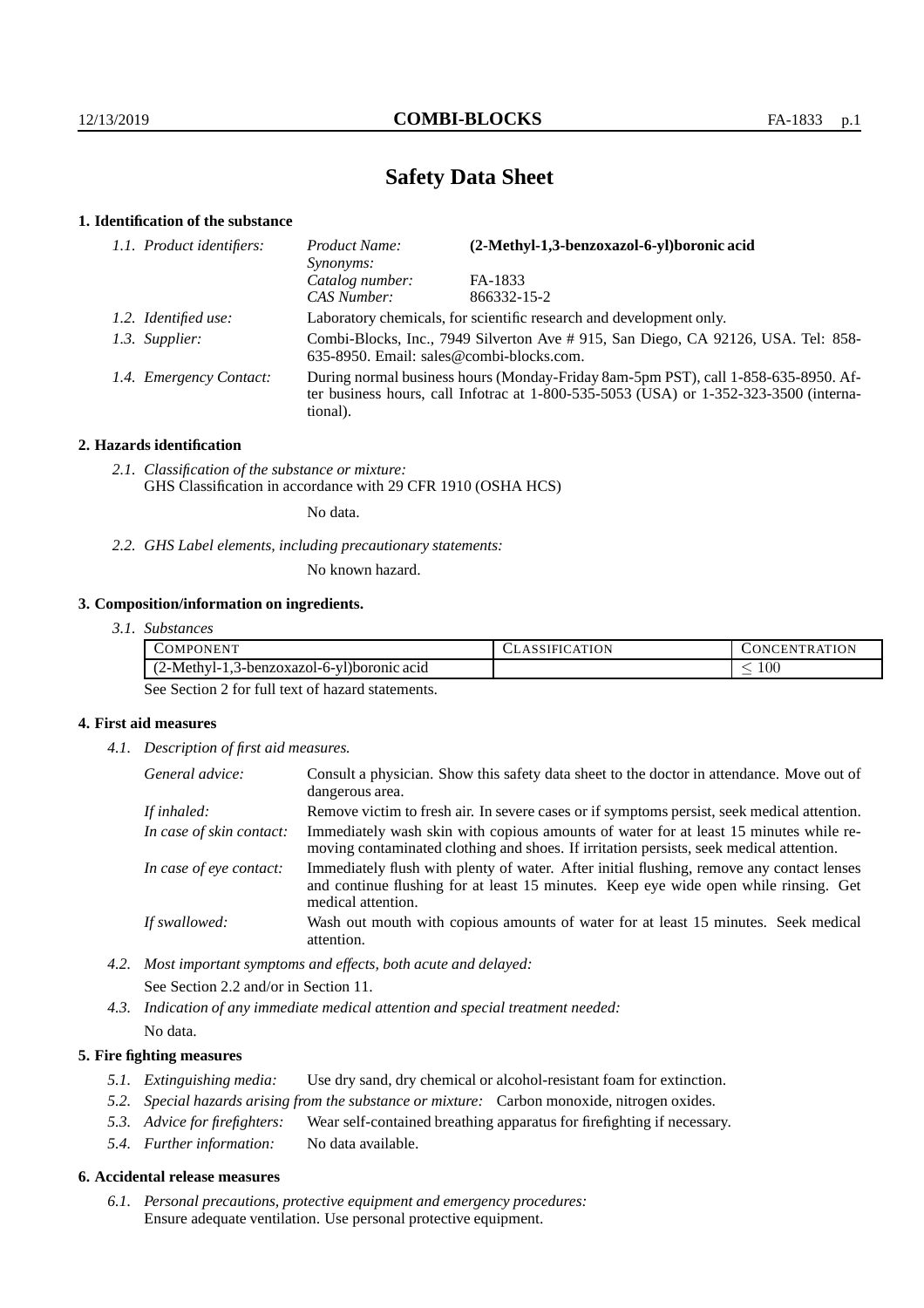# **Safety Data Sheet**

## **1. Identification of the substance**

| 1.1. Product identifiers: | (2-Methyl-1,3-benzoxazol-6-yl)boronic acid<br>Product Name:<br>Synonyms:                                                                                                                    |             |  |
|---------------------------|---------------------------------------------------------------------------------------------------------------------------------------------------------------------------------------------|-------------|--|
|                           | Catalog number:                                                                                                                                                                             | FA-1833     |  |
|                           | CAS Number:                                                                                                                                                                                 | 866332-15-2 |  |
| 1.2. Identified use:      | Laboratory chemicals, for scientific research and development only.                                                                                                                         |             |  |
| 1.3. Supplier:            | Combi-Blocks, Inc., 7949 Silverton Ave # 915, San Diego, CA 92126, USA. Tel: 858-<br>635-8950. Email: sales@combi-blocks.com.                                                               |             |  |
| 1.4. Emergency Contact:   | During normal business hours (Monday-Friday 8am-5pm PST), call 1-858-635-8950. Af-<br>ter business hours, call Infotrac at $1-800-535-5053$ (USA) or $1-352-323-3500$ (interna-<br>tional). |             |  |

## **2. Hazards identification**

*2.1. Classification of the substance or mixture:* GHS Classification in accordance with 29 CFR 1910 (OSHA HCS)

No data.

*2.2. GHS Label elements, including precautionary statements:*

No known hazard.

## **3. Composition/information on ingredients.**

*3.1. Substances*

| <b>COMPONENT</b>                                                            | $m \tau \wedge r$<br>:TUN<br>нN.<br><b>INI</b><br>`R A |
|-----------------------------------------------------------------------------|--------------------------------------------------------|
| $1 \times 1$<br>2-Methyl-.<br>3-benzoxazol-6-<br>6-yDborome<br>acıd:<br>سيد | $100\,$<br>_                                           |

See Section 2 for full text of hazard statements.

## **4. First aid measures**

*4.1. Description of first aid measures.*

| General advice:          | Consult a physician. Show this safety data sheet to the doctor in attendance. Move out of<br>dangerous area.                                                                                            |
|--------------------------|---------------------------------------------------------------------------------------------------------------------------------------------------------------------------------------------------------|
| If inhaled:              | Remove victim to fresh air. In severe cases or if symptoms persist, seek medical attention.                                                                                                             |
| In case of skin contact: | Immediately wash skin with copious amounts of water for at least 15 minutes while re-<br>moving contaminated clothing and shoes. If irritation persists, seek medical attention.                        |
| In case of eye contact:  | Immediately flush with plenty of water. After initial flushing, remove any contact lenses<br>and continue flushing for at least 15 minutes. Keep eye wide open while rinsing. Get<br>medical attention. |
| If swallowed:            | Wash out mouth with copious amounts of water for at least 15 minutes. Seek medical<br>attention.                                                                                                        |

*4.2. Most important symptoms and effects, both acute and delayed:* See Section 2.2 and/or in Section 11.

*4.3. Indication of any immediate medical attention and special treatment needed:* No data.

## **5. Fire fighting measures**

- *5.1. Extinguishing media:* Use dry sand, dry chemical or alcohol-resistant foam for extinction.
- *5.2. Special hazards arising from the substance or mixture:* Carbon monoxide, nitrogen oxides.
- *5.3. Advice for firefighters:* Wear self-contained breathing apparatus for firefighting if necessary.
- *5.4. Further information:* No data available.

## **6. Accidental release measures**

*6.1. Personal precautions, protective equipment and emergency procedures:* Ensure adequate ventilation. Use personal protective equipment.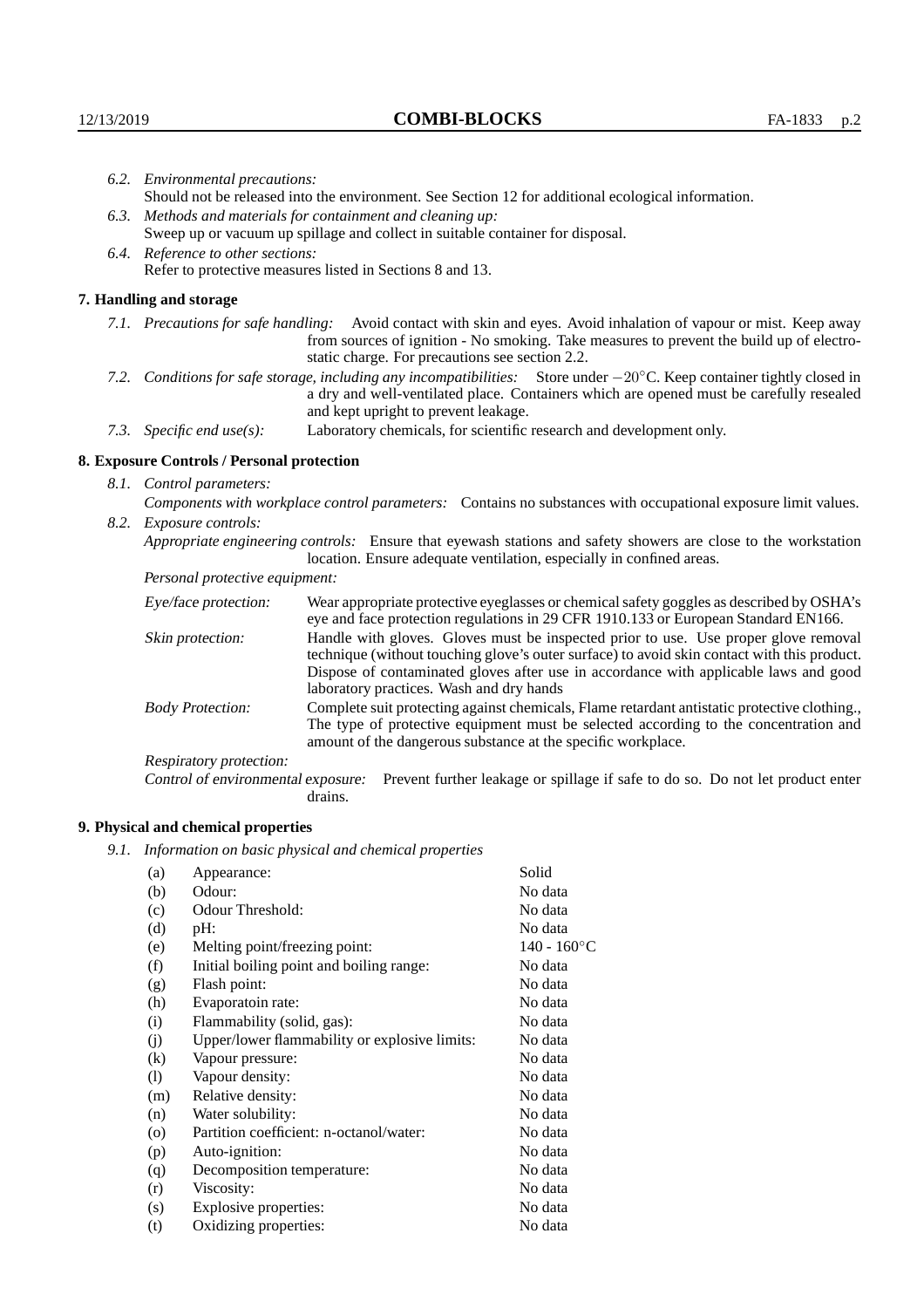| 6.2. Environmental precautions:                                                                                                                                                                                                                                     |                                                                                                                                                                                                                                                                                                                        |  |  |  |
|---------------------------------------------------------------------------------------------------------------------------------------------------------------------------------------------------------------------------------------------------------------------|------------------------------------------------------------------------------------------------------------------------------------------------------------------------------------------------------------------------------------------------------------------------------------------------------------------------|--|--|--|
| Should not be released into the environment. See Section 12 for additional ecological information.                                                                                                                                                                  |                                                                                                                                                                                                                                                                                                                        |  |  |  |
|                                                                                                                                                                                                                                                                     | 6.3. Methods and materials for containment and cleaning up:                                                                                                                                                                                                                                                            |  |  |  |
| Sweep up or vacuum up spillage and collect in suitable container for disposal.                                                                                                                                                                                      |                                                                                                                                                                                                                                                                                                                        |  |  |  |
| 6.4. Reference to other sections:                                                                                                                                                                                                                                   |                                                                                                                                                                                                                                                                                                                        |  |  |  |
|                                                                                                                                                                                                                                                                     | Refer to protective measures listed in Sections 8 and 13.                                                                                                                                                                                                                                                              |  |  |  |
| 7. Handling and storage                                                                                                                                                                                                                                             |                                                                                                                                                                                                                                                                                                                        |  |  |  |
|                                                                                                                                                                                                                                                                     | 7.1. Precautions for safe handling: Avoid contact with skin and eyes. Avoid inhalation of vapour or mist. Keep away<br>from sources of ignition - No smoking. Take measures to prevent the build up of electro-<br>static charge. For precautions see section 2.2.                                                     |  |  |  |
| 7.2. Conditions for safe storage, including any incompatibilities: Store under $-20^{\circ}$ C. Keep container tightly closed in<br>a dry and well-ventilated place. Containers which are opened must be carefully resealed<br>and kept upright to prevent leakage. |                                                                                                                                                                                                                                                                                                                        |  |  |  |
| 7.3. Specific end use(s):                                                                                                                                                                                                                                           | Laboratory chemicals, for scientific research and development only.                                                                                                                                                                                                                                                    |  |  |  |
| 8. Exposure Controls / Personal protection                                                                                                                                                                                                                          |                                                                                                                                                                                                                                                                                                                        |  |  |  |
| 8.1. Control parameters:                                                                                                                                                                                                                                            |                                                                                                                                                                                                                                                                                                                        |  |  |  |
|                                                                                                                                                                                                                                                                     | Components with workplace control parameters: Contains no substances with occupational exposure limit values.                                                                                                                                                                                                          |  |  |  |
| 8.2. Exposure controls:                                                                                                                                                                                                                                             |                                                                                                                                                                                                                                                                                                                        |  |  |  |
| Appropriate engineering controls: Ensure that eyewash stations and safety showers are close to the workstation<br>location. Ensure adequate ventilation, especially in confined areas.                                                                              |                                                                                                                                                                                                                                                                                                                        |  |  |  |
| Personal protective equipment:                                                                                                                                                                                                                                      |                                                                                                                                                                                                                                                                                                                        |  |  |  |
| Eye/face protection:                                                                                                                                                                                                                                                | Wear appropriate protective eyeglasses or chemical safety goggles as described by OSHA's<br>eye and face protection regulations in 29 CFR 1910.133 or European Standard EN166.                                                                                                                                         |  |  |  |
| Skin protection:                                                                                                                                                                                                                                                    | Handle with gloves. Gloves must be inspected prior to use. Use proper glove removal<br>technique (without touching glove's outer surface) to avoid skin contact with this product.<br>Dispose of contaminated gloves after use in accordance with applicable laws and good<br>laboratory practices. Wash and dry hands |  |  |  |

Body Protection: Complete suit protecting against chemicals, Flame retardant antistatic protective clothing., The type of protective equipment must be selected according to the concentration and amount of the dangerous substance at the specific workplace.

Respiratory protection:

Control of environmental exposure: Prevent further leakage or spillage if safe to do so. Do not let product enter drains.

## **9. Physical and chemical properties**

*9.1. Information on basic physical and chemical properties*

| (a)     | Appearance:                                   | Solid          |
|---------|-----------------------------------------------|----------------|
| (b)     | Odour:                                        | No data        |
| (c)     | Odour Threshold:                              | No data        |
| (d)     | $pH$ :                                        | No data        |
| (e)     | Melting point/freezing point:                 | $140 - 160$ °C |
| (f)     | Initial boiling point and boiling range:      | No data        |
| (g)     | Flash point:                                  | No data        |
| (h)     | Evaporatoin rate:                             | No data        |
| (i)     | Flammability (solid, gas):                    | No data        |
| (j)     | Upper/lower flammability or explosive limits: | No data        |
| (k)     | Vapour pressure:                              | No data        |
| (1)     | Vapour density:                               | No data        |
| (m)     | Relative density:                             | No data        |
| (n)     | Water solubility:                             | No data        |
| $\circ$ | Partition coefficient: n-octanol/water:       | No data        |
| (p)     | Auto-ignition:                                | No data        |
| (q)     | Decomposition temperature:                    | No data        |
| (r)     | Viscosity:                                    | No data        |
| (s)     | Explosive properties:                         | No data        |
| (t)     | Oxidizing properties:                         | No data        |
|         |                                               |                |